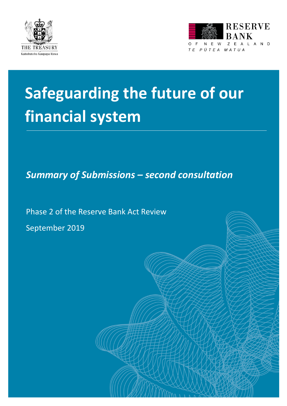



# **Safeguarding the future of our financial system**

*Summary of Submissions – second consultation*

Phase 2 of the Reserve Bank Act Review September 2019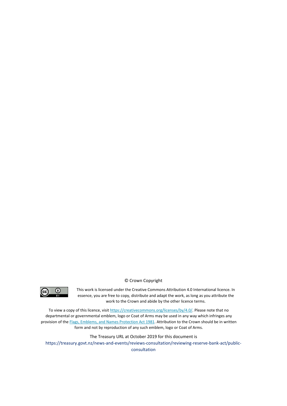



This work is licensed under the Creative Commons Attribution 4.0 International licence. In essence, you are free to copy, distribute and adapt the work, as long as you attribute the work to the Crown and abide by the other licence terms.

To view a copy of this licence, visi[t https://creativecommons.org/licenses/by/4.0/.](https://creativecommons.org/licenses/by/4.0/) Please note that no departmental or governmental emblem, logo or Coat of Arms may be used in any way which infringes any provision of th[e Flags, Emblems, and Names Protection Act 1981.](http://www.legislation.govt.nz/act/public/1981/0047/latest/whole.html#dlm52216) Attribution to the Crown should be in written form and not by reproduction of any such emblem, logo or Coat of Arms.

The Treasury URL at October 2019 for this document is https://treasury.govt.nz/news-and-events/reviews-consultation/reviewing-reserve-bank-act/publicconsultation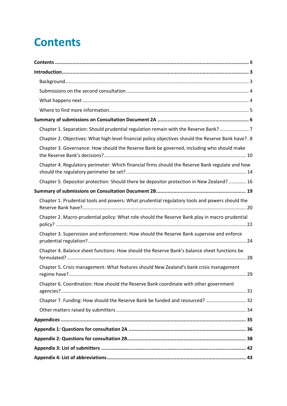## <span id="page-2-0"></span>**Contents**

| Chapter 1. Separation: Should prudential regulation remain with the Reserve Bank? 7                 |  |  |  |  |
|-----------------------------------------------------------------------------------------------------|--|--|--|--|
| Chapter 2. Objectives: What high-level financial policy objectives should the Reserve Bank have?. 8 |  |  |  |  |
| Chapter 3. Governance: How should the Reserve Bank be governed, including who should make           |  |  |  |  |
| Chapter 4. Regulatory perimeter: Which financial firms should the Reserve Bank regulate and how     |  |  |  |  |
| Chapter 5. Depositor protection: Should there be depositor protection in New Zealand?  16           |  |  |  |  |
|                                                                                                     |  |  |  |  |
| Chapter 1. Prudential tools and powers: What prudential regulatory tools and powers should the      |  |  |  |  |
| Chapter 2. Macro-prudential policy: What role should the Reserve Bank play in macro-prudential      |  |  |  |  |
| Chapter 3. Supervision and enforcement: How should the Reserve Bank supervise and enforce           |  |  |  |  |
| Chapter 4. Balance sheet functions: How should the Reserve Bank's balance sheet functions be        |  |  |  |  |
| Chapter 5. Crisis management: What features should New Zealand's bank crisis management             |  |  |  |  |
| Chapter 6. Coordination: How should the Reserve Bank coordinate with other government               |  |  |  |  |
| Chapter 7. Funding: How should the Reserve Bank be funded and resourced?  32                        |  |  |  |  |
|                                                                                                     |  |  |  |  |
|                                                                                                     |  |  |  |  |
|                                                                                                     |  |  |  |  |
|                                                                                                     |  |  |  |  |
|                                                                                                     |  |  |  |  |
|                                                                                                     |  |  |  |  |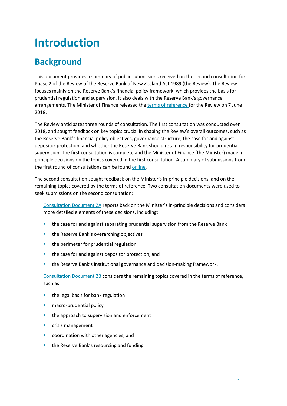## <span id="page-3-0"></span>**Introduction**

### <span id="page-3-1"></span>**Background**

This document provides a summary of public submissions received on the second consultation for Phase 2 of the Review of the Reserve Bank of New Zealand Act 1989 (the Review). The Review focuses mainly on the Reserve Bank's financial policy framework, which provides the basis for prudential regulation and supervision. It also deals with the Reserve Bank's governance arrangements. The Minister of Finance released th[e terms of reference](https://treasury.govt.nz/publications/information-release/terms-reference-review-reserve-bank-act-1989-phase-2-rbnz-act) for the Review on 7 June 2018.

The Review anticipates three rounds of consultation. The first consultation was conducted over 2018, and sought feedback on key topics crucial in shaping the Review's overall outcomes, such as the Reserve Bank's financial policy objectives, governance structure, the case for and against depositor protection, and whether the Reserve Bank should retain responsibility for prudential supervision. The first consultation is complete and the Minister of Finance (the Minister) made inprinciple decisions on the topics covered in the first consultation. A summary of submissions from the first round of consultations can be found [online.](https://treasury.govt.nz/sites/default/files/2019-03/rbnz-summary-sub-1-consultation.pdf)

The second consultation sought feedback on the Minister's in-principle decisions, and on the remaining topics covered by the terms of reference. Two consultation documents were used to seek submissions on the second consultation:

[Consultation Document 2A](https://treasury.govt.nz/sites/default/files/2019-06/rbnz-safeguarding-future-financial-system-2a.pdf) reports back on the Minister's in-principle decisions and considers more detailed elements of these decisions, including:

- **the case for and against separating prudential supervision from the Reserve Bank**
- **the Reserve Bank's overarching objectives**
- **the perimeter for prudential regulation**
- **the case for and against depositor protection, and**
- **the Reserve Bank's institutional governance and decision-making framework.**

[Consultation Document 2B](https://treasury.govt.nz/sites/default/files/2019-06/rbnz-safeguarding-future-financial-system-2b.pdf) considers the remaining topics covered in the terms of reference, such as:

- $\blacksquare$  the legal basis for bank regulation
- **macro-prudential policy**
- **the approach to supervision and enforcement**
- crisis management
- coordination with other agencies, and
- **the Reserve Bank's resourcing and funding.**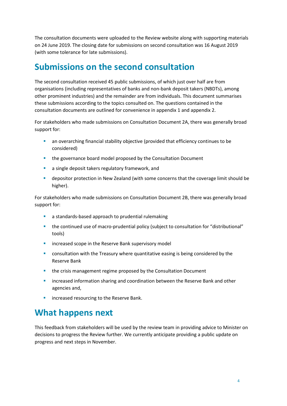The consultation documents were uploaded to the Review website along with supporting materials on 24 June 2019. The closing date for submissions on second consultation was 16 August 2019 (with some tolerance for late submissions).

### <span id="page-4-0"></span>**Submissions on the second consultation**

The second consultation received 45 public submissions, of which just over half are from organisations (including representatives of banks and non-bank deposit takers (NBDTs), among other prominent industries) and the remainder are from individuals. This document summarises these submissions according to the topics consulted on. The questions contained in the consultation documents are outlined for convenience in appendix 1 and appendix 2.

For stakeholders who made submissions on Consultation Document 2A, there was generally broad support for:

- **a** an overarching financial stability objective (provided that efficiency continues to be considered)
- **the governance board model proposed by the Consultation Document**
- **a** a single deposit takers regulatory framework, and
- depositor protection in New Zealand (with some concerns that the coverage limit should be higher).

For stakeholders who made submissions on Consultation Document 2B, there was generally broad support for:

- a standards-based approach to prudential rulemaking
- the continued use of macro-prudential policy (subject to consultation for "distributional" tools)
- increased scope in the Reserve Bank supervisory model
- **EXED** consultation with the Treasury where quantitative easing is being considered by the Reserve Bank
- **the crisis management regime proposed by the Consultation Document**
- **EXEDM** increased information sharing and coordination between the Reserve Bank and other agencies and,
- increased resourcing to the Reserve Bank.

### <span id="page-4-1"></span>**What happens next**

This feedback from stakeholders will be used by the review team in providing advice to Minister on decisions to progress the Review further. We currently anticipate providing a public update on progress and next steps in November.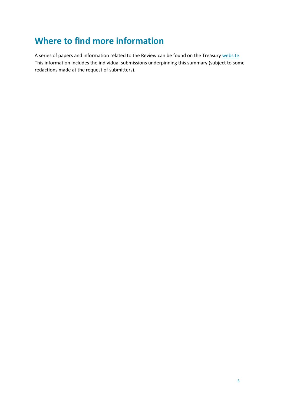### <span id="page-5-0"></span>**Where to find more information**

A series of papers and information related to the Review can be found on the Treasury [website.](https://treasury.govt.nz/news-and-events/reviews-consultation/reviewing-reserve-bank-act) This information includes the individual submissions underpinning this summary (subject to some redactions made at the request of submitters).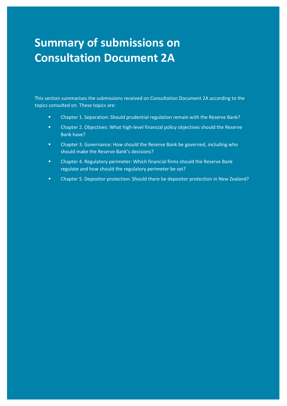## <span id="page-6-0"></span>**Summary of submissions on Consultation Document 2A**

This section summarises the submissions received on Consultation Document 2A according to the topics consulted on. These topics are:

**EXECT** Chapter 1. Separation: Should prudential regulation remain with the Reserve Bank?

C2A

- **EXECO ADDET 2. Objectives: What high-level financial policy objectives should the Reserve** Bank have?
- **E** Chapter 3. Governance: How should the Reserve Bank be governed, including who should make the Reserve Bank's decisions?
- Chapter 4. Regulatory perimeter: Which financial firms should the Reserve Bank regulate and how should the regulatory perimeter be set?
- Chapter 5. Depositor protection: Should there be depositor protection in New Zealand?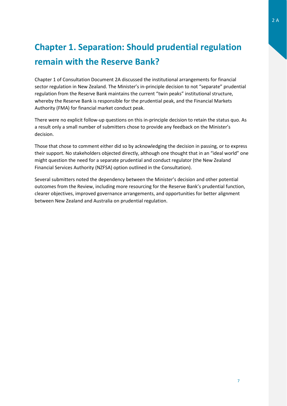### <span id="page-7-0"></span>**Chapter 1. Separation: Should prudential regulation remain with the Reserve Bank?**

Chapter 1 of Consultation Document 2A discussed the institutional arrangements for financial sector regulation in New Zealand. The Minister's in-principle decision to not "separate" prudential regulation from the Reserve Bank maintains the current "twin peaks" institutional structure, whereby the Reserve Bank is responsible for the prudential peak, and the Financial Markets Authority (FMA) for financial market conduct peak.

There were no explicit follow-up questions on this in-principle decision to retain the status quo. As a result only a small number of submitters chose to provide any feedback on the Minister's decision.

Those that chose to comment either did so by acknowledging the decision in passing, or to express their support. No stakeholders objected directly, although one thought that in an "ideal world" one might question the need for a separate prudential and conduct regulator (the New Zealand Financial Services Authority (NZFSA) option outlined in the Consultation).

Several submitters noted the dependency between the Minister's decision and other potential outcomes from the Review, including more resourcing for the Reserve Bank's prudential function, clearer objectives, improved governance arrangements, and opportunities for better alignment between New Zealand and Australia on prudential regulation.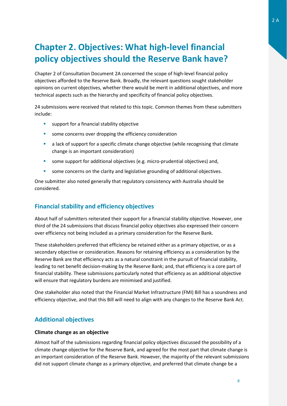### <span id="page-8-0"></span>**Chapter 2. Objectives: What high-level financial policy objectives should the Reserve Bank have?**

Chapter 2 of Consultation Document 2A concerned the scope of high-level financial policy objectives afforded to the Reserve Bank. Broadly, the relevant questions sought stakeholder opinions on current objectives, whether there would be merit in additional objectives, and more technical aspects such as the hierarchy and specificity of financial policy objectives.

24 submissions were received that related to this topic. Common themes from these submitters include:

- **support for a financial stability objective**
- some concerns over dropping the efficiency consideration
- a lack of support for a specific climate change objective (while recognising that climate change is an important consideration)
- some support for additional objectives (e.g. micro-prudential objectives) and,
- some concerns on the clarity and legislative grounding of additional objectives.

One submitter also noted generally that regulatory consistency with Australia should be considered.

### **Financial stability and efficiency objectives**

About half of submitters reiterated their support for a financial stability objective. However, one third of the 24 submissions that discuss financial policy objectives also expressed their concern over efficiency not being included as a primary consideration for the Reserve Bank.

These stakeholders preferred that efficiency be retained either as a primary objective, or as a secondary objective or consideration. Reasons for retaining efficiency as a consideration by the Reserve Bank are that efficiency acts as a natural constraint in the pursuit of financial stability, leading to net benefit decision-making by the Reserve Bank; and, that efficiency is a core part of financial stability. These submissions particularly noted that efficiency as an additional objective will ensure that regulatory burdens are minimised and justified.

One stakeholder also noted that the Financial Market Infrastructure (FMI) Bill has a soundness and efficiency objective, and that this Bill will need to align with any changes to the Reserve Bank Act.

### **Additional objectives**

#### **Climate change as an objective**

Almost half of the submissions regarding financial policy objectives discussed the possibility of a climate change objective for the Reserve Bank, and agreed for the most part that climate change is an important consideration of the Reserve Bank. However, the majority of the relevant submissions did not support climate change as a primary objective, and preferred that climate change be a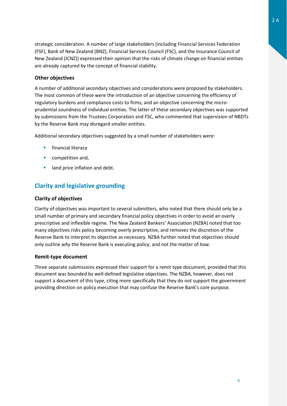strategic consideration. A number of large stakeholders (including Financial Services Federation (FSF), Bank of New Zealand (BNZ), Financial Services Council (FSC), and the Insurance Council of New Zealand (ICNZ)) expressed their opinion that the risks of climate change on financial entities are already captured by the concept of financial stability.

### **Other objectives**

A number of additional secondary objectives and considerations were proposed by stakeholders. The most common of these were the introduction of an objective concerning the efficiency of regulatory burdens and compliance costs to firms; and an objective concerning the microprudential soundness of individual entities. The latter of these secondary objectives was supported by submissions from the Trustees Corporation and FSC, who commented that supervision of NBDTs by the Reserve Bank may disregard smaller entities.

Additional secondary objectives suggested by a small number of stakeholders were:

- **financial literacy**
- competition and,
- land price inflation and debt.

### **Clarity and legislative grounding**

#### **Clarity of objectives**

Clarity of objectives was important to several submitters, who noted that there should only be a small number of primary and secondary financial policy objectives in order to avoid an overly prescriptive and inflexible regime. The New Zealand Bankers' Association (NZBA) noted that too many objectives risks policy becoming overly prescriptive, and removes the discretion of the Reserve Bank to interpret its objective as necessary. NZBA further noted that objectives should only outline *why* the Reserve Bank is executing policy, and not the matter of *how*.

#### **Remit-type document**

Three separate submissions expressed their support for a remit type document, provided that this document was bounded by well-defined legislative objectives. The NZBA, however, does not support a document of this type, citing more specifically that they do not support the government providing direction on policy execution that may confuse the Reserve Bank's core purpose.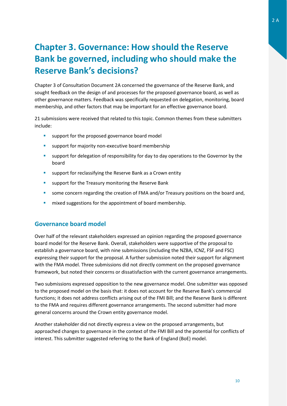### <span id="page-10-0"></span>**Chapter 3. Governance: How should the Reserve Bank be governed, including who should make the Reserve Bank's decisions?**

Chapter 3 of Consultation Document 2A concerned the governance of the Reserve Bank, and sought feedback on the design of and processes for the proposed governance board, as well as other governance matters. Feedback was specifically requested on delegation, monitoring, board membership, and other factors that may be important for an effective governance board.

21 submissions were received that related to this topic. Common themes from these submitters include:

- **EXECUTE:** support for the proposed governance board model
- support for majority non-executive board membership
- support for delegation of responsibility for day to day operations to the Governor by the board
- **E** support for reclassifying the Reserve Bank as a Crown entity
- **EXECTE:** support for the Treasury monitoring the Reserve Bank
- **some concern regarding the creation of FMA and/or Treasury positions on the board and,**
- **n** mixed suggestions for the appointment of board membership.

### **Governance board model**

Over half of the relevant stakeholders expressed an opinion regarding the proposed governance board model for the Reserve Bank. Overall, stakeholders were supportive of the proposal to establish a governance board, with nine submissions (including the NZBA, ICNZ, FSF and FSC) expressing their support for the proposal. A further submission noted their support for alignment with the FMA model. Three submissions did not directly comment on the proposed governance framework, but noted their concerns or dissatisfaction with the current governance arrangements.

Two submissions expressed opposition to the new governance model. One submitter was opposed to the proposed model on the basis that: it does not account for the Reserve Bank's commercial functions; it does not address conflicts arising out of the FMI Bill; and the Reserve Bank is different to the FMA and requires different governance arrangements. The second submitter had more general concerns around the Crown entity governance model.

Another stakeholder did not directly express a view on the proposed arrangements, but approached changes to governance in the context of the FMI Bill and the potential for conflicts of interest. This submitter suggested referring to the Bank of England (BoE) model.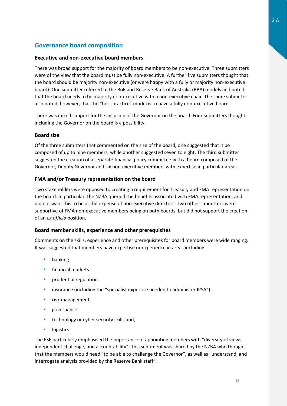### **Governance board composition**

### **Executive and non-executive board members**

There was broad support for the majority of board members to be non-executive. Three submitters were of the view that the board must be fully non-executive. A further five submitters thought that the board should be majority non-executive (or were happy with a fully or majority non-executive board). One submitter referred to the BoE and Reserve Bank of Australia (RBA) models and noted that the board needs to be majority non-executive with a non-executive chair. The same submitter also noted, however, that the "best practice" model is to have a fully non-executive board.

There was mixed support for the inclusion of the Governor on the board. Four submitters thought including the Governor on the board is a possibility.

#### **Board size**

Of the three submitters that commented on the size of the board, one suggested that it be composed of up to nine members, while another suggested seven to eight. The third submitter suggested the creation of a separate financial policy committee with a board composed of the Governor, Deputy Governor and six non-executive members with expertise in particular areas.

### **FMA and/or Treasury representation on the board**

Two stakeholders were opposed to creating a requirement for Treasury and FMA representation on the board. In particular, the NZBA queried the benefits associated with FMA representation, and did not want this to be at the expense of non-executive directors. Two other submitters were supportive of FMA non-executive members being on both boards, but did not support the creation of an *ex officio* position.

### **Board member skills, experience and other prerequisites**

Comments on the skills, experience and other prerequisites for board members were wide ranging. It was suggested that members have expertise or experience in areas including:

- banking
- **financial markets**
- **•** prudential regulation
- **E** insurance (including the "specialist expertise needed to administer IPSA")
- **Filter** risk management
- **p**eovernance
- **technology or cyber security skills and,**
- **I** logistics.

The FSF particularly emphasised the importance of appointing members with "diversity of views, independent challenge, and accountability". This sentiment was shared by the NZBA who thought that the members would need "to be able to challenge the Governor", as well as "understand, and interrogate analysis provided by the Reserve Bank staff".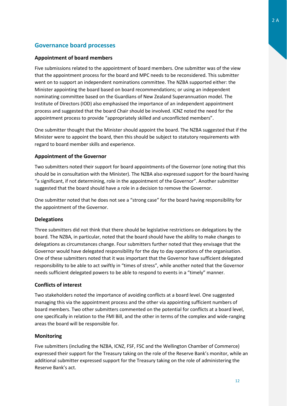### **Governance board processes**

### **Appointment of board members**

Five submissions related to the appointment of board members. One submitter was of the view that the appointment process for the board and MPC needs to be reconsidered. This submitter went on to support an independent nominations committee. The NZBA supported either: the Minister appointing the board based on board recommendations; or using an independent nominating committee based on the Guardians of New Zealand Superannuation model. The Institute of Directors (IOD) also emphasised the importance of an independent appointment process and suggested that the board Chair should be involved. ICNZ noted the need for the appointment process to provide "appropriately skilled and unconflicted members".

One submitter thought that the Minister should appoint the board. The NZBA suggested that if the Minister were to appoint the board, then this should be subject to statutory requirements with regard to board member skills and experience.

### **Appointment of the Governor**

Two submitters noted their support for board appointments of the Governor (one noting that this should be in consultation with the Minister). The NZBA also expressed support for the board having "a significant, if not determining, role in the appointment of the Governor". Another submitter suggested that the board should have a role in a decision to remove the Governor.

One submitter noted that he does not see a "strong case" for the board having responsibility for the appointment of the Governor.

#### **Delegations**

Three submitters did not think that there should be legislative restrictions on delegations by the board. The NZBA, in particular, noted that the board should have the ability to make changes to delegations as circumstances change. Four submitters further noted that they envisage that the Governor would have delegated responsibility for the day to day operations of the organisation. One of these submitters noted that it was important that the Governor have sufficient delegated responsibility to be able to act swiftly in "times of stress", while another noted that the Governor needs sufficient delegated powers to be able to respond to events in a "timely" manner.

#### **Conflicts of interest**

Two stakeholders noted the importance of avoiding conflicts at a board level. One suggested managing this via the appointment process and the other via appointing sufficient numbers of board members. Two other submitters commented on the potential for conflicts at a board level, one specifically in relation to the FMI Bill, and the other in terms of the complex and wide-ranging areas the board will be responsible for.

#### **Monitoring**

Five submitters (including the NZBA, ICNZ, FSF, FSC and the Wellington Chamber of Commerce) expressed their support for the Treasury taking on the role of the Reserve Bank's monitor, while an additional submitter expressed support for the Treasury taking on the role of administering the Reserve Bank's act.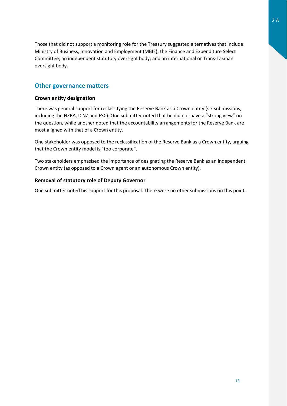Those that did not support a monitoring role for the Treasury suggested alternatives that include: Ministry of Business, Innovation and Employment (MBIE); the Finance and Expenditure Select Committee; an independent statutory oversight body; and an international or Trans-Tasman oversight body.

### **Other governance matters**

### **Crown entity designation**

There was general support for reclassifying the Reserve Bank as a Crown entity (six submissions, including the NZBA, ICNZ and FSC). One submitter noted that he did not have a "strong view" on the question, while another noted that the accountability arrangements for the Reserve Bank are most aligned with that of a Crown entity.

One stakeholder was opposed to the reclassification of the Reserve Bank as a Crown entity, arguing that the Crown entity model is "too corporate".

Two stakeholders emphasised the importance of designating the Reserve Bank as an independent Crown entity (as opposed to a Crown agent or an autonomous Crown entity).

### **Removal of statutory role of Deputy Governor**

One submitter noted his support for this proposal. There were no other submissions on this point.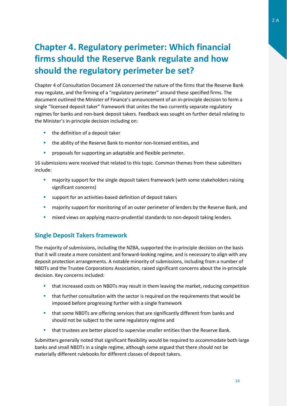### <span id="page-14-0"></span>**Chapter 4. Regulatory perimeter: Which financial firms should the Reserve Bank regulate and how should the regulatory perimeter be set?**

Chapter 4 of Consultation Document 2A concerned the nature of the firms that the Reserve Bank may regulate, and the firming of a "regulatory perimeter" around these specified firms. The document outlined the Minister of Finance's announcement of an in-principle decision to form a single "licensed deposit taker" framework that unites the two currently separate regulatory regimes for banks and non-bank deposit takers. Feedback was sought on further detail relating to the Minister's in-principle decision including on:

- **the definition of a deposit taker**
- **the ability of the Reserve Bank to monitor non-licensed entities, and**
- **PEDRIM** proposals for supporting an adaptable and flexible perimeter.

16 submissions were received that related to this topic. Common themes from these submitters include:

- **EXECT** majority support for the single deposit takers framework (with some stakeholders raising significant concerns)
- support for an activities-based definition of deposit takers
- majority support for monitoring of an outer perimeter of lenders by the Reserve Bank, and
- **EXED MIXED VIEWS ON applying macro-prudential standards to non-deposit taking lenders.**

### **Single Deposit Takers framework**

The majority of submissions, including the NZBA, supported the in-principle decision on the basis that it will create a more consistent and forward-looking regime, and is necessary to align with any deposit protection arrangements. A notable minority of submissions, including from a number of NBDTs and the Trustee Corporations Association, raised significant concerns about the in-principle decision. Key concerns included:

- that increased costs on NBDTs may result in them leaving the market, reducing competition
- **that further consultation with the sector is required on the requirements that would be** imposed before progressing further with a single framework
- **that some NBDTs are offering services that are significantly different from banks and** should not be subject to the same regulatory regime and
- that trustees are better placed to supervise smaller entities than the Reserve Bank.

Submitters generally noted that significant flexibility would be required to accommodate both large banks and small NBDTs in a single regime, although some argued that there should not be materially different rulebooks for different classes of deposit takers.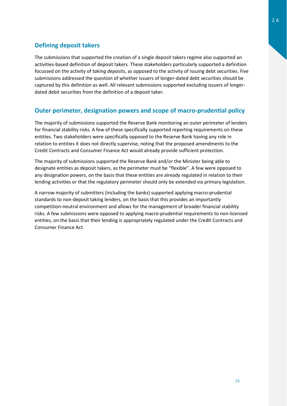### **Defining deposit takers**

The submissions that supported the creation of a single deposit takers regime also supported an activities-based definition of deposit takers. These stakeholders particularly supported a definition focussed on the activity of *taking deposits*, as opposed to the activity of issuing debt securities. Five submissions addressed the question of whether issuers of longer-dated debt securities should be captured by this definition as well. All relevant submissions supported excluding issuers of longerdated debit securities from the definition of a deposit taker.

### **Outer perimeter, designation powers and scope of macro-prudential policy**

The majority of submissions supported the Reserve Bank monitoring an outer perimeter of lenders for financial stability risks. A few of these specifically supported reporting requirements on these entities. Two stakeholders were specifically opposed to the Reserve Bank having any role in relation to entities it does not directly supervise, noting that the proposed amendments to the Credit Contracts and Consumer Finance Act would already provide sufficient protection.

The majority of submissions supported the Reserve Bank and/or the Minister being able to designate entities as deposit takers, as the perimeter must be "flexible". A few were opposed to any designation powers, on the basis that these entities are already regulated in relation to their lending activities or that the regulatory perimeter should only be extended via primary legislation.

A narrow majority of submitters (including the banks) supported applying macro-prudential standards to non-deposit taking lenders, on the basis that this provides an importantly competition-neutral environment and allows for the management of broader financial stability risks. A few submissions were opposed to applying macro-prudential requirements to non-licensed entities, on the basis that their lending is appropriately regulated under the Credit Contracts and Consumer Finance Act.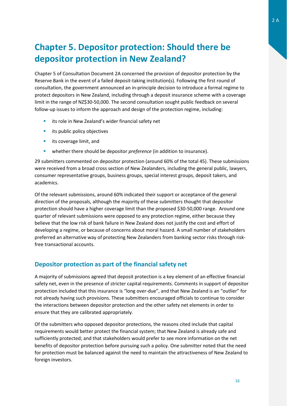### <span id="page-16-0"></span>**Chapter 5. Depositor protection: Should there be depositor protection in New Zealand?**

Chapter 5 of Consultation Document 2A concerned the provision of depositor protection by the Reserve Bank in the event of a failed deposit-taking institution(s). Following the first round of consultation, the government announced an in-principle decision to introduce a formal regime to protect depositors in New Zealand, including through a deposit insurance scheme with a coverage limit in the range of NZ\$30-50,000. The second consultation sought public feedback on several follow-up issues to inform the approach and design of the protection regime, including:

- **EXTER** its role in New Zealand's wider financial safety net
- **i** its public policy objectives
- **i** its coverage limit, and
- **•** whether there should be depositor *preference* (in addition to insurance).

29 submitters commented on depositor protection (around 60% of the total 45). These submissions were received from a broad cross section of New Zealanders, including the general public, lawyers, consumer representative groups, business groups, special interest groups, deposit takers, and academics.

Of the relevant submissions, around 60% indicated their support or acceptance of the general direction of the proposals, although the majority of these submitters thought that depositor protection should have a higher coverage limit than the proposed \$30-50,000 range. Around one quarter of relevant submissions were opposed to any protection regime, either because they believe that the low risk of bank failure in New Zealand does not justify the cost and effort of developing a regime, or because of concerns about moral hazard. A small number of stakeholders preferred an alternative way of protecting New Zealanders from banking sector risks through riskfree transactional accounts.

### **Depositor protection as part of the financial safety net**

A majority of submissions agreed that deposit protection is a key element of an effective financial safety net, even in the presence of stricter capital requirements. Comments in support of depositor protection included that this insurance is "long over-due", and that New Zealand is an "outlier" for not already having such provisions. These submitters encouraged officials to continue to consider the interactions between depositor protection and the other safety net elements in order to ensure that they are calibrated appropriately.

Of the submitters who opposed depositor protections, the reasons cited include that capital requirements would better protect the financial system; that New Zealand is already safe and sufficiently protected; and that stakeholders would prefer to see more information on the net benefits of depositor protection before pursuing such a policy. One submitter noted that the need for protection must be balanced against the need to maintain the attractiveness of New Zealand to foreign investors.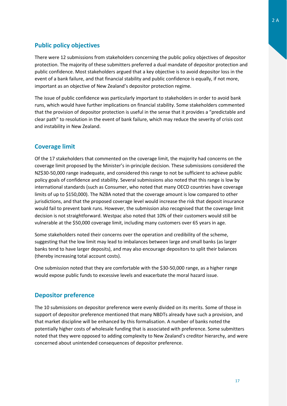### **Public policy objectives**

There were 12 submissions from stakeholders concerning the public policy objectives of depositor protection. The majority of these submitters preferred a dual mandate of depositor protection and public confidence. Most stakeholders argued that a key objective is to avoid depositor loss in the event of a bank failure, and that financial stability and public confidence is equally, if not more, important as an objective of New Zealand's depositor protection regime.

The issue of public confidence was particularly important to stakeholders in order to avoid bank runs, which would have further implications on financial stability. Some stakeholders commented that the provision of depositor protection is useful in the sense that it provides a "predictable and clear path" to resolution in the event of bank failure, which may reduce the severity of crisis cost and instability in New Zealand.

### **Coverage limit**

Of the 17 stakeholders that commented on the coverage limit, the majority had concerns on the coverage limit proposed by the Minister's in-principle decision. These submissions considered the NZ\$30-50,000 range inadequate, and considered this range to not be sufficient to achieve public policy goals of confidence and stability. Several submissions also noted that this range is low by international standards (such as Consumer, who noted that many OECD countries have coverage limits of up to \$150,000). The NZBA noted that the coverage amount is low compared to other jurisdictions, and that the proposed coverage level would increase the risk that deposit insurance would fail to prevent bank runs. However, the submission also recognised that the coverage limit decision is not straightforward. Westpac also noted that 10% of their customers would still be vulnerable at the \$50,000 coverage limit, including many customers over 65 years in age.

Some stakeholders noted their concerns over the operation and credibility of the scheme, suggesting that the low limit may lead to imbalances between large and small banks (as larger banks tend to have larger deposits), and may also encourage depositors to split their balances (thereby increasing total account costs).

One submission noted that they are comfortable with the \$30-50,000 range, as a higher range would expose public funds to excessive levels and exacerbate the moral hazard issue.

### **Depositor preference**

The 10 submissions on depositor preference were evenly divided on its merits. Some of those in support of depositor preference mentioned that many NBDTs already have such a provision, and that market discipline will be enhanced by this formalisation. A number of banks noted the potentially higher costs of wholesale funding that is associated with preference. Some submitters noted that they were opposed to adding complexity to New Zealand's creditor hierarchy, and were concerned about unintended consequences of depositor preference.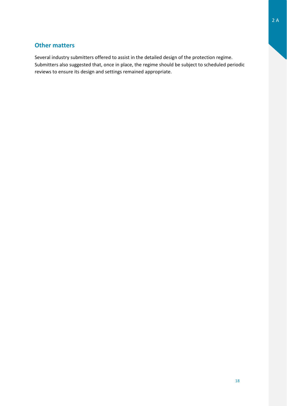### **Other matters**

Several industry submitters offered to assist in the detailed design of the protection regime. Submitters also suggested that, once in place, the regime should be subject to scheduled periodic reviews to ensure its design and settings remained appropriate.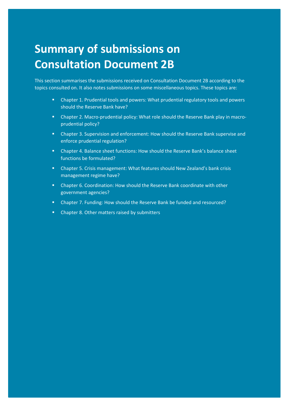## <span id="page-19-0"></span>**Summary of submissions on Consultation Document 2B**

This section summarises the submissions received on Consultation Document 2B according to the topics consulted on. It also notes submissions on some miscellaneous topics. These topics are:

 Chapter 1. Prudential tools and powers: What prudential regulatory tools and powers should the Reserve Bank have?

C2B

- Chapter 2. Macro-prudential policy: What role should the Reserve Bank play in macroprudential policy?
- Chapter 3. Supervision and enforcement: How should the Reserve Bank supervise and enforce prudential regulation?
- Chapter 4. Balance sheet functions: How should the Reserve Bank's balance sheet functions be formulated?
- Chapter 5. Crisis management: What features should New Zealand's bank crisis management regime have?
- Chapter 6. Coordination: How should the Reserve Bank coordinate with other government agencies?
- Chapter 7. Funding: How should the Reserve Bank be funded and resourced?
- Chapter 8. Other matters raised by submitters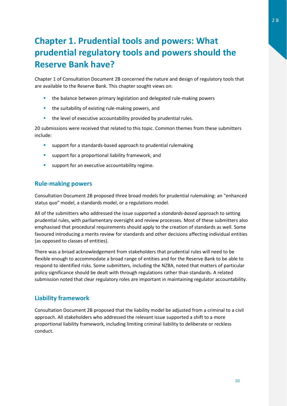### <span id="page-20-0"></span>**Chapter 1. Prudential tools and powers: What prudential regulatory tools and powers should the Reserve Bank have?**

Chapter 1 of Consultation Document 2B concerned the nature and design of regulatory tools that are available to the Reserve Bank. This chapter sought views on:

- **the balance between primary legislation and delegated rule-making powers**
- **the suitability of existing rule-making powers, and**
- **the level of executive accountability provided by prudential rules.**

20 submissions were received that related to this topic. Common themes from these submitters include:

- **E** support for a standards-based approach to prudential rulemaking
- **support for a proportional liability framework, and**
- **support for an executive accountability regime.**

#### **Rule-making powers**

Consultation Document 2B proposed three broad models for prudential rulemaking: an "enhanced status quo" model, a standards model, or a regulations model.

All of the submitters who addressed the issue supported a *standards-based* approach to setting prudential rules, with parliamentary oversight and review processes. Most of these submitters also emphasised that procedural requirements should apply to the creation of standards as well. Some favoured introducing a merits review for standards and other decisions affecting individual entities (as opposed to classes of entities).

There was a broad acknowledgement from stakeholders that prudential rules will need to be flexible enough to accommodate a broad range of entities and for the Reserve Bank to be able to respond to identified risks. Some submitters, including the NZBA, noted that matters of particular policy significance should be dealt with through regulations rather than standards. A related submission noted that clear regulatory roles are important in maintaining regulator accountability.

### **Liability framework**

Consultation Document 2B proposed that the liability model be adjusted from a criminal to a civil approach. All stakeholders who addressed the relevant issue supported a shift to a more proportional liability framework, including limiting criminal liability to deliberate or reckless conduct.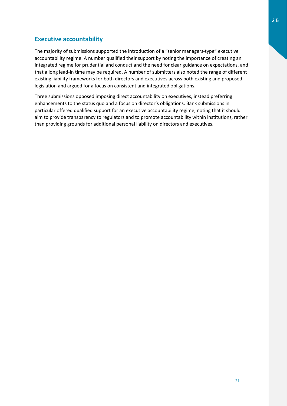### **Executive accountability**

The majority of submissions supported the introduction of a "senior managers-type" executive accountability regime. A number qualified their support by noting the importance of creating an integrated regime for prudential and conduct and the need for clear guidance on expectations, and that a long lead-in time may be required. A number of submitters also noted the range of different existing liability frameworks for both directors and executives across both existing and proposed legislation and argued for a focus on consistent and integrated obligations.

Three submissions opposed imposing direct accountability on executives, instead preferring enhancements to the status quo and a focus on director's obligations. Bank submissions in particular offered qualified support for an executive accountability regime, noting that it should aim to provide transparency to regulators and to promote accountability within institutions, rather than providing grounds for additional personal liability on directors and executives.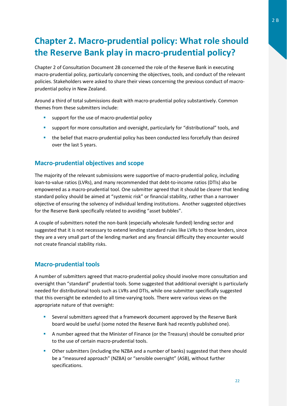### <span id="page-22-0"></span>**Chapter 2. Macro-prudential policy: What role should the Reserve Bank play in macro-prudential policy?**

Chapter 2 of Consultation Document 2B concerned the role of the Reserve Bank in executing macro-prudential policy, particularly concerning the objectives, tools, and conduct of the relevant policies. Stakeholders were asked to share their views concerning the previous conduct of macroprudential policy in New Zealand.

Around a third of total submissions dealt with macro-prudential policy substantively. Common themes from these submitters include:

- support for the use of macro-prudential policy
- support for more consultation and oversight, particularly for "distributional" tools, and
- **the belief that macro-prudential policy has been conducted less forcefully than desired** over the last 5 years.

### **Macro-prudential objectives and scope**

The majority of the relevant submissions were supportive of macro-prudential policy, including loan-to-value ratios (LVRs), and many recommended that debt-to-income ratios (DTIs) also be empowered as a macro-prudential tool. One submitter agreed that it should be clearer that lending standard policy should be aimed at "systemic risk" or financial stability, rather than a narrower objective of ensuring the solvency of individual lending institutions. Another suggested objectives for the Reserve Bank specifically related to avoiding "asset bubbles".

A couple of submitters noted the non-bank (especially wholesale funded) lending sector and suggested that it is not necessary to extend lending standard rules like LVRs to those lenders, since they are a very small part of the lending market and any financial difficulty they encounter would not create financial stability risks.

### **Macro-prudential tools**

A number of submitters agreed that macro-prudential policy should involve more consultation and oversight than "standard" prudential tools. Some suggested that additional oversight is particularly needed for distributional tools such as LVRs and DTIs, while one submitter specifically suggested that this oversight be extended to all time-varying tools. There were various views on the appropriate nature of that oversight:

- Several submitters agreed that a framework document approved by the Reserve Bank board would be useful (some noted the Reserve Bank had recently published one).
- A number agreed that the Minister of Finance (or the Treasury) should be consulted prior to the use of certain macro-prudential tools.
- Other submitters (including the NZBA and a number of banks) suggested that there should be a "measured approach" (NZBA) or "sensible oversight" (ASB), without further specifications.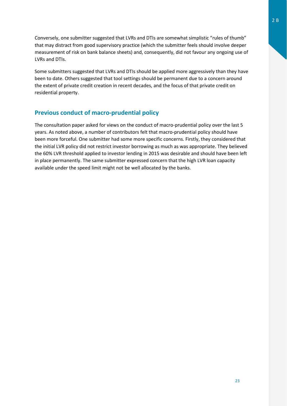Conversely, one submitter suggested that LVRs and DTIs are somewhat simplistic "rules of thumb" that may distract from good supervisory practice (which the submitter feels should involve deeper measurement of risk on bank balance sheets) and, consequently, did not favour any ongoing use of LVRs and DTIs.

Some submitters suggested that LVRs and DTIs should be applied more aggressively than they have been to date. Others suggested that tool settings should be permanent due to a concern around the extent of private credit creation in recent decades, and the focus of that private credit on residential property.

### **Previous conduct of macro-prudential policy**

The consultation paper asked for views on the conduct of macro-prudential policy over the last 5 years. As noted above, a number of contributors felt that macro-prudential policy should have been more forceful. One submitter had some more specific concerns. Firstly, they considered that the initial LVR policy did not restrict investor borrowing as much as was appropriate. They believed the 60% LVR threshold applied to investor lending in 2015 was desirable and should have been left in place permanently. The same submitter expressed concern that the high LVR loan capacity available under the speed limit might not be well allocated by the banks.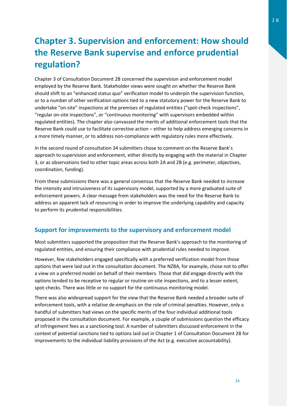### <span id="page-24-0"></span>**Chapter 3. Supervision and enforcement: How should the Reserve Bank supervise and enforce prudential regulation?**

Chapter 3 of Consultation Document 2B concerned the supervision and enforcement model employed by the Reserve Bank. Stakeholder views were sought on whether the Reserve Bank should shift to an "enhanced status quo" verification model to underpin the supervision function, or to a number of other verification options tied to a new statutory power for the Reserve Bank to undertake "on-site" inspections at the premises of regulated entities ("spot-check inspections", "regular on-site inspections", or "continuous monitoring" with supervisors embedded within regulated entities). The chapter also canvassed the merits of additional enforcement tools that the Reserve Bank could use to facilitate corrective action – either to help address emerging concerns in a more timely manner, or to address non-compliance with regulatory rules more effectively.

In the second round of consultation 34 submitters chose to comment on the Reserve Bank's approach to supervision and enforcement, either directly by engaging with the material in Chapter 3, or as observations tied to other topic areas across both 2A and 2B (e.g. perimeter, objectives, coordination, funding).

From these submissions there was a general consensus that the Reserve Bank needed to increase the intensity and intrusiveness of its supervisory model, supported by a more graduated suite of enforcement powers. A clear message from stakeholders was the need for the Reserve Bank to address an apparent lack of resourcing in order to improve the underlying capability and capacity to perform its prudential responsibilities.

### **Support for improvements to the supervisory and enforcement model**

Most submitters supported the proposition that the Reserve Bank's approach to the monitoring of regulated entities, and ensuring their compliance with prudential rules needed to improve.

However, few stakeholders engaged specifically with a preferred verification model from those options that were laid out in the consultation document. The NZBA, for example, chose not to offer a view on a preferred model on behalf of their members. Those that did engage directly with the options tended to be receptive to regular or routine on-site inspections, and to a lesser extent, spot-checks. There was little or no support for the continuous monitoring model.

There was also widespread support for the view that the Reserve Bank needed a broader suite of enforcement tools, with a relative de-emphasis on the role of criminal penalties. However, only a handful of submitters had views on the specific merits of the four individual additional tools proposed in the consultation document. For example, a couple of submissions question the efficacy of infringement fees as a sanctioning tool. A number of submitters discussed enforcement in the context of potential sanctions tied to options laid out in Chapter 1 of Consultation Document 2B for improvements to the individual liability provisions of the Act (e.g. executive accountability).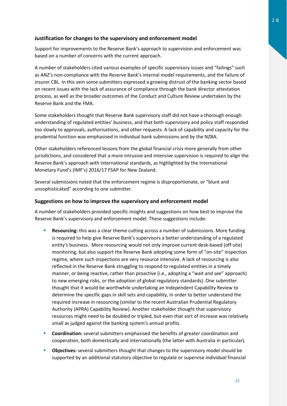### **Justification for changes to the supervisory and enforcement model**

Support for improvements to the Reserve Bank's approach to supervision and enforcement was based on a number of concerns with the current approach.

A number of stakeholders cited various examples of specific supervisory issues and "failings" such as ANZ's non-compliance with the Reserve Bank's internal model requirements, and the failure of insurer CBL. In this vein some submitters expressed a growing distrust of the banking sector based on recent issues with the lack of assurance of compliance through the bank director attestation process, as well as the broader outcomes of the Conduct and Culture Review undertaken by the Reserve Bank and the FMA.

Some stakeholders thought that Reserve Bank supervisory staff did not have a thorough enough understanding of regulated entities' business, and that both supervisory and policy staff responded too slowly to approvals, authorisations, and other requests. A lack of capability and capacity for the prudential function was emphasised in individual bank submissions and by the NZBA.

Other stakeholders referenced lessons from the global financial crisis more generally from other jurisdictions, and considered that a more intrusive and intensive supervision is required to align the Reserve Bank's approach with international standards, as highlighted by the International Monetary Fund's (IMF's) 2016/17 FSAP for New Zealand.

Several submissions noted that the enforcement regime is disproportionate, or "blunt and unsophisticated" according to one submitter.

#### **Suggestions on how to improve the supervisory and enforcement model**

A number of stakeholders provided specific insights and suggestions on how best to improve the Reserve Bank's supervisory and enforcement model. These suggestions include:

- **Resourcing:** this was a clear theme cutting across a number of submissions. More funding is required to help give Reserve Bank's supervisors a better understanding of a regulated entity's business. More resourcing would not only improve current desk-based (off-site) monitoring, but also support the Reserve Bank adopting some form of "on-site" inspection regime, where such inspections are very resource intensive. A lack of resourcing is also reflected in the Reserve Bank struggling to respond to regulated entities in a timely manner, or being reactive, rather than proactive (i.e., adopting a "wait and see" approach) to new emerging risks, or the adoption of global regulatory standards). One submitter thought that it would be worthwhile undertaking an Independent Capability Review to determine the specific gaps in skill sets and capability, in order to better understand the required increase in resourcing (similar to the recent Australian Prudential Regulatory Authority (APRA) Capability Review). Another stakeholder thought that supervisory resources might need to be doubled or tripled, but even that sort of increase was relatively small as judged against the banking system's annual profits.
- **Coordination:** several submitters emphasised the benefits of greater coordination and cooperation, both domestically and internationally (the latter with Australia in particular).
- **Objectives:** several submitters thought that changes to the supervisory model should be supported by an additional statutory objective to regulate or supervise *individual* financial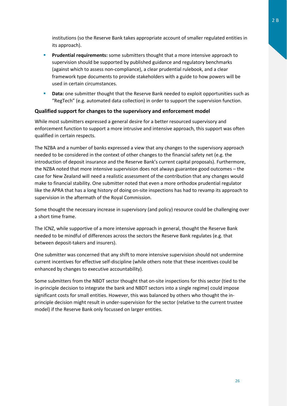institutions (so the Reserve Bank takes appropriate account of smaller regulated entities in its approach).

- **Prudential requirements:** some submitters thought that a more intensive approach to supervision should be supported by published guidance and regulatory benchmarks (against which to assess non-compliance), a clear prudential rulebook, and a clear framework type documents to provide stakeholders with a guide to how powers will be used in certain circumstances.
- **Data:** one submitter thought that the Reserve Bank needed to exploit opportunities such as "RegTech" (e.g. automated data collection) in order to support the supervision function.

### **Qualified support for changes to the supervisory and enforcement model**

While most submitters expressed a general desire for a better resourced supervisory and enforcement function to support a more intrusive and intensive approach, this support was often qualified in certain respects.

The NZBA and a number of banks expressed a view that any changes to the supervisory approach needed to be considered in the context of other changes to the financial safety net (e.g. the introduction of deposit insurance and the Reserve Bank's current capital proposals). Furthermore, the NZBA noted that more intensive supervision does not always guarantee good outcomes – the case for New Zealand will need a realistic assessment of the contribution that any changes would make to financial stability. One submitter noted that even a more orthodox prudential regulator like the APRA that has a long history of doing on-site inspections has had to revamp its approach to supervision in the aftermath of the Royal Commission.

Some thought the necessary increase in supervisory (and policy) resource could be challenging over a short time frame.

The ICNZ, while supportive of a more intensive approach in general, thought the Reserve Bank needed to be mindful of differences across the sectors the Reserve Bank regulates (e.g. that between deposit-takers and insurers).

One submitter was concerned that any shift to more intensive supervision should not undermine current incentives for effective self-discipline (while others note that these incentives could be enhanced by changes to executive accountability).

Some submitters from the NBDT sector thought that on-site inspections for this sector (tied to the in-principle decision to integrate the bank and NBDT sectors into a single regime) could impose significant costs for small entities. However, this was balanced by others who thought the inprinciple decision might result in under-supervision for the sector (relative to the current trustee model) if the Reserve Bank only focussed on larger entities.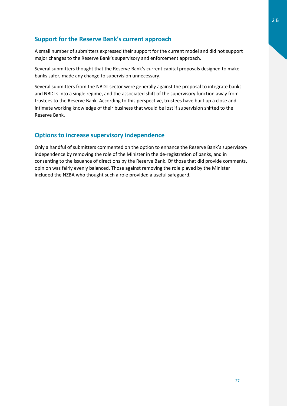### **Support for the Reserve Bank's current approach**

A small number of submitters expressed their support for the current model and did not support major changes to the Reserve Bank's supervisory and enforcement approach.

Several submitters thought that the Reserve Bank's current capital proposals designed to make banks safer, made any change to supervision unnecessary.

Several submitters from the NBDT sector were generally against the proposal to integrate banks and NBDTs into a single regime, and the associated shift of the supervisory function away from trustees to the Reserve Bank. According to this perspective, trustees have built up a close and intimate working knowledge of their business that would be lost if supervision shifted to the Reserve Bank.

### **Options to increase supervisory independence**

Only a handful of submitters commented on the option to enhance the Reserve Bank's supervisory independence by removing the role of the Minister in the de-registration of banks, and in consenting to the issuance of directions by the Reserve Bank. Of those that did provide comments, opinion was fairly evenly balanced. Those against removing the role played by the Minister included the NZBA who thought such a role provided a useful safeguard.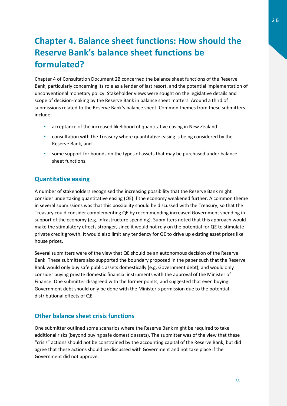### <span id="page-28-0"></span>**Chapter 4. Balance sheet functions: How should the Reserve Bank's balance sheet functions be formulated?**

Chapter 4 of Consultation Document 2B concerned the balance sheet functions of the Reserve Bank, particularly concerning its role as a lender of last resort, and the potential implementation of unconventional monetary policy. Stakeholder views were sought on the legislative details and scope of decision-making by the Reserve Bank in balance sheet matters. Around a third of submissions related to the Reserve Bank's balance sheet. Common themes from these submitters include:

- **E** acceptance of the increased likelihood of quantitative easing in New Zealand
- **•** consultation with the Treasury where quantitative easing is being considered by the Reserve Bank, and
- some support for bounds on the types of assets that may be purchased under balance sheet functions.

### **Quantitative easing**

A number of stakeholders recognised the increasing possibility that the Reserve Bank might consider undertaking quantitative easing (QE) if the economy weakened further. A common theme in several submissions was that this possibility should be discussed with the Treasury, so that the Treasury could consider complementing QE by recommending increased Government spending in support of the economy (e.g. infrastructure spending). Submitters noted that this approach would make the stimulatory effects stronger, since it would not rely on the potential for QE to stimulate private credit growth. It would also limit any tendency for QE to drive up existing asset prices like house prices.

Several submitters were of the view that QE should be an autonomous decision of the Reserve Bank. These submitters also supported the boundary proposed in the paper such that the Reserve Bank would only buy safe public assets domestically (e.g. Government debt), and would only consider buying private domestic financial instruments with the approval of the Minister of Finance. One submitter disagreed with the former points, and suggested that even buying Government debt should only be done with the Minister's permission due to the potential distributional effects of QE.

### **Other balance sheet crisis functions**

One submitter outlined some scenarios where the Reserve Bank might be required to take additional risks (beyond buying safe domestic assets). The submitter was of the view that these "crisis" actions should not be constrained by the accounting capital of the Reserve Bank, but did agree that these actions should be discussed with Government and not take place if the Government did not approve.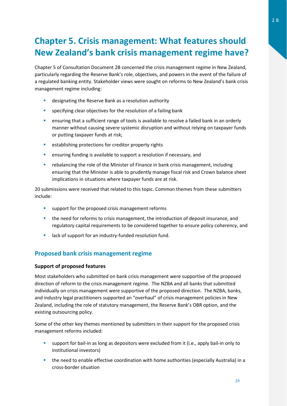### <span id="page-29-0"></span>**Chapter 5. Crisis management: What features should New Zealand's bank crisis management regime have?**

Chapter 5 of Consultation Document 2B concerned the crisis management regime in New Zealand, particularly regarding the Reserve Bank's role, objectives, and powers in the event of the failure of a regulated banking entity. Stakeholder views were sought on reforms to New Zealand's bank crisis management regime including:

- **designating the Reserve Bank as a resolution authority**
- **specifying clear objectives for the resolution of a failing bank**
- **EXED** ensuring that a sufficient range of tools is available to resolve a failed bank in an orderly manner without causing severe systemic disruption and without relying on taxpayer funds or putting taxpayer funds at risk;
- **EXECTE ENDIRIES I** establishing protections for creditor property rights
- **E** ensuring funding is available to support a resolution if necessary, and
- rebalancing the role of the Minister of Finance in bank crisis management, including ensuring that the Minister is able to prudently manage fiscal risk and Crown balance sheet implications in situations where taxpayer funds are at risk.

20 submissions were received that related to this topic. Common themes from these submitters include:

- **EXECT** support for the proposed crisis management reforms
- **the need for reforms to crisis management, the introduction of deposit insurance, and** regulatory capital requirements to be considered together to ensure policy coherency, and
- **EXECUTE:** lack of support for an industry-funded resolution fund.

### **Proposed bank crisis management regime**

#### **Support of proposed features**

Most stakeholders who submitted on bank crisis management were supportive of the proposed direction of reform to the crisis management regime. The NZBA and all banks that submitted individually on crisis management were supportive of the proposed direction. The NZBA, banks, and industry legal practitioners supported an "overhaul" of crisis management policies in New Zealand, including the role of statutory management, the Reserve Bank's OBR option, and the existing outsourcing policy.

Some of the other key themes mentioned by submitters in their support for the proposed crisis management reforms included:

- support for bail-in as long as depositors were excluded from it (i.e., apply bail-in only to institutional investors)
- the need to enable effective coordination with home authorities (especially Australia) in a cross-border situation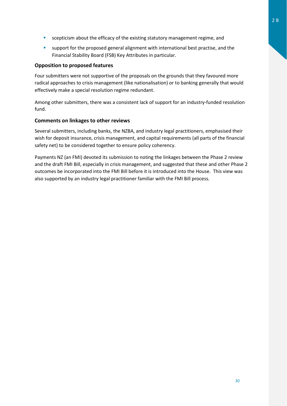- scepticism about the efficacy of the existing statutory management regime, and
- support for the proposed general alignment with international best practise, and the Financial Stability Board (FSB) Key Attributes in particular.

#### **Opposition to proposed features**

Four submitters were not supportive of the proposals on the grounds that they favoured more radical approaches to crisis management (like nationalisation) or to banking generally that would effectively make a special resolution regime redundant.

Among other submitters, there was a consistent lack of support for an industry-funded resolution fund.

### **Comments on linkages to other reviews**

Several submitters, including banks, the NZBA, and industry legal practitioners, emphasised their wish for deposit insurance, crisis management, and capital requirements (all parts of the financial safety net) to be considered together to ensure policy coherency.

Payments NZ (an FMI) devoted its submission to noting the linkages between the Phase 2 review and the draft FMI Bill, especially in crisis management, and suggested that these and other Phase 2 outcomes be incorporated into the FMI Bill before it is introduced into the House. This view was also supported by an industry legal practitioner familiar with the FMI Bill process.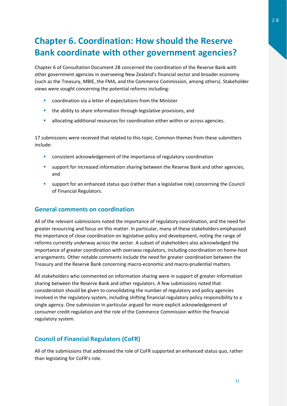### <span id="page-31-0"></span>**Chapter 6. Coordination: How should the Reserve Bank coordinate with other government agencies?**

Chapter 6 of Consultation Document 2B concerned the coordination of the Reserve Bank with other government agencies in overseeing New Zealand's financial sector and broader economy (such as the Treasury, MBIE, the FMA, and the Commerce Commission, among others). Stakeholder views were sought concerning the potential reforms including:

- **E** coordination via a letter of expectations from the Minister
- **the ability to share information through legislative provisions, and**
- allocating additional resources for coordination either within or across agencies.

17 submissions were received that related to this topic. Common themes from these submitters include:

- consistent acknowledgement of the importance of regulatory coordination
- support for increased information sharing between the Reserve Bank and other agencies, and
- support for an enhanced status quo (rather than a legislative role) concerning the Council of Financial Regulators.

### **General comments on coordination**

All of the relevant submissions noted the importance of regulatory coordination, and the need for greater resourcing and focus on this matter. In particular, many of these stakeholders emphasised the importance of close coordination on legislative policy and development, noting the range of reforms currently underway across the sector. A subset of stakeholders also acknowledged the importance of greater coordination with overseas regulators, including coordination on home-host arrangements. Other notable comments include the need for greater coordination between the Treasury and the Reserve Bank concerning macro-economic and macro-prudential matters.

All stakeholders who commented on information sharing were in support of greater information sharing between the Reserve Bank and other regulators. A few submissions noted that consideration should be given to consolidating the number of regulatory and policy agencies involved in the regulatory system, including shifting financial regulatory policy responsibility to a single agency. One submission in particular argued for more explicit acknowledgement of consumer credit regulation and the role of the Commerce Commission within the financial regulatory system.

### **Council of Financial Regulators (CoFR)**

All of the submissions that addressed the role of CoFR supported an enhanced status quo, rather than legislating for CoFR's role.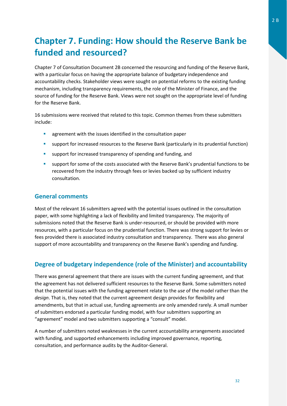### <span id="page-32-0"></span>**Chapter 7. Funding: How should the Reserve Bank be funded and resourced?**

Chapter 7 of Consultation Document 2B concerned the resourcing and funding of the Reserve Bank, with a particular focus on having the appropriate balance of budgetary independence and accountability checks. Stakeholder views were sought on potential reforms to the existing funding mechanism, including transparency requirements, the role of the Minister of Finance, and the source of funding for the Reserve Bank. Views were not sought on the appropriate level of funding for the Reserve Bank.

16 submissions were received that related to this topic. Common themes from these submitters include:

- **E** agreement with the issues identified in the consultation paper
- support for increased resources to the Reserve Bank (particularly in its prudential function)
- **EXECT** support for increased transparency of spending and funding, and
- **EXECT** support for some of the costs associated with the Reserve Bank's prudential functions to be recovered from the industry through fees or levies backed up by sufficient industry consultation.

### **General comments**

Most of the relevant 16 submitters agreed with the potential issues outlined in the consultation paper, with some highlighting a lack of flexibility and limited transparency. The majority of submissions noted that the Reserve Bank is under-resourced, or should be provided with more resources, with a particular focus on the prudential function. There was strong support for levies or fees provided there is associated industry consultation and transparency. There was also general support of more accountability and transparency on the Reserve Bank's spending and funding.

### **Degree of budgetary independence (role of the Minister) and accountability**

There was general agreement that there are issues with the current funding agreement, and that the agreement has not delivered sufficient resources to the Reserve Bank. Some submitters noted that the potential issues with the funding agreement relate to the *use* of the model rather than the *design*. That is, they noted that the current agreement design provides for flexibility and amendments, but that in actual use, funding agreements are only amended rarely. A small number of submitters endorsed a particular funding model, with four submitters supporting an "agreement" model and two submitters supporting a "consult" model.

A number of submitters noted weaknesses in the current accountability arrangements associated with funding, and supported enhancements including improved governance, reporting, consultation, and performance audits by the Auditor-General.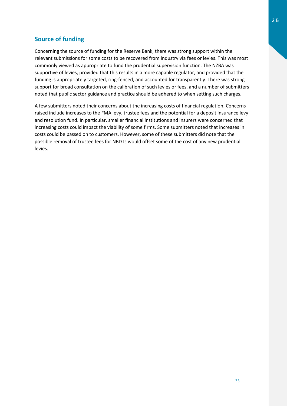### **Source of funding**

Concerning the source of funding for the Reserve Bank, there was strong support within the relevant submissions for some costs to be recovered from industry via fees or levies. This was most commonly viewed as appropriate to fund the prudential supervision function. The NZBA was supportive of levies, provided that this results in a more capable regulator, and provided that the funding is appropriately targeted, ring-fenced, and accounted for transparently. There was strong support for broad consultation on the calibration of such levies or fees, and a number of submitters noted that public sector guidance and practice should be adhered to when setting such charges.

A few submitters noted their concerns about the increasing costs of financial regulation. Concerns raised include increases to the FMA levy, trustee fees and the potential for a deposit insurance levy and resolution fund. In particular, smaller financial institutions and insurers were concerned that increasing costs could impact the viability of some firms. Some submitters noted that increases in costs could be passed on to customers. However, some of these submitters did note that the possible removal of trustee fees for NBDTs would offset some of the cost of any new prudential levies.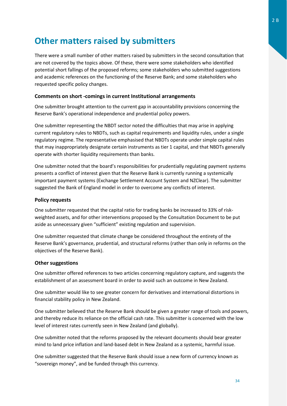### <span id="page-34-0"></span>**Other matters raised by submitters**

There were a small number of other matters raised by submitters in the second consultation that are not covered by the topics above. Of these, there were some stakeholders who identified potential short fallings of the proposed reforms; some stakeholders who submitted suggestions and academic references on the functioning of the Reserve Bank; and some stakeholders who requested specific policy changes.

#### **Comments on short -comings in current Institutional arrangements**

One submitter brought attention to the current gap in accountability provisions concerning the Reserve Bank's operational independence and prudential policy powers.

One submitter representing the NBDT sector noted the difficulties that may arise in applying current regulatory rules to NBDTs, such as capital requirements and liquidity rules, under a single regulatory regime. The representative emphasised that NBDTs operate under simple capital rules that may inappropriately designate certain instruments as tier 1 capital, and that NBDTs generally operate with shorter liquidity requirements than banks.

One submitter noted that the board's responsibilities for prudentially regulating payment systems presents a conflict of interest given that the Reserve Bank is currently running a systemically important payment systems (Exchange Settlement Account System and NZClear). The submitter suggested the Bank of England model in order to overcome any conflicts of interest.

#### **Policy requests**

One submitter requested that the capital ratio for trading banks be increased to 33% of riskweighted assets, and for other interventions proposed by the Consultation Document to be put aside as unnecessary given "sufficient" existing regulation and supervision.

One submitter requested that climate change be considered throughout the entirety of the Reserve Bank's governance, prudential, and structural reforms (rather than only in reforms on the objectives of the Reserve Bank).

#### **Other suggestions**

One submitter offered references to two articles concerning regulatory capture, and suggests the establishment of an assessment board in order to avoid such an outcome in New Zealand.

One submitter would like to see greater concern for derivatives and international distortions in financial stability policy in New Zealand.

One submitter believed that the Reserve Bank should be given a greater range of tools and powers, and thereby reduce its reliance on the official cash rate. This submitter is concerned with the low level of interest rates currently seen in New Zealand (and globally).

One submitter noted that the reforms proposed by the relevant documents should bear greater mind to land price inflation and land-based debt in New Zealand as a systemic, harmful issue.

One submitter suggested that the Reserve Bank should issue a new form of currency known as "sovereign money", and be funded through this currency.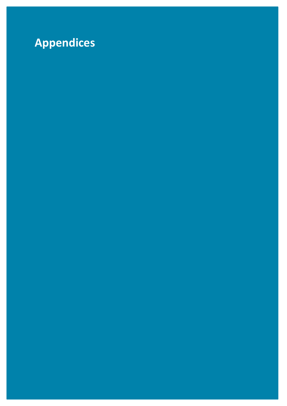## <span id="page-35-0"></span>**Appendices**

C2B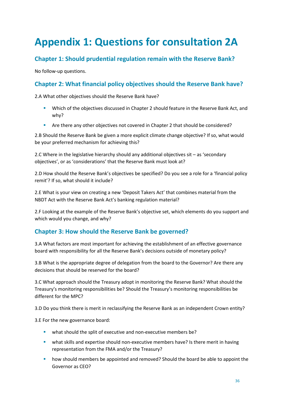## <span id="page-36-0"></span>**Appendix 1: Questions for consultation 2A**

### **Chapter 1: Should prudential regulation remain with the Reserve Bank?**

No follow-up questions.

### **Chapter 2: What financial policy objectives should the Reserve Bank have?**

2.A What other objectives should the Reserve Bank have?

- Which of the objectives discussed in Chapter 2 should feature in the Reserve Bank Act, and why?
- Are there any other objectives not covered in Chapter 2 that should be considered?

2.B Should the Reserve Bank be given a more explicit climate change objective? If so, what would be your preferred mechanism for achieving this?

2.C Where in the legislative hierarchy should any additional objectives sit – as 'secondary objectives', or as 'considerations' that the Reserve Bank must look at?

2.D How should the Reserve Bank's objectives be specified? Do you see a role for a 'financial policy remit'? If so, what should it include?

2.E What is your view on creating a new 'Deposit Takers Act' that combines material from the NBDT Act with the Reserve Bank Act's banking regulation material?

2.F Looking at the example of the Reserve Bank's objective set, which elements do you support and which would you change, and why?

### **Chapter 3: How should the Reserve Bank be governed?**

3.A What factors are most important for achieving the establishment of an effective governance board with responsibility for all the Reserve Bank's decisions outside of monetary policy?

3.B What is the appropriate degree of delegation from the board to the Governor? Are there any decisions that should be reserved for the board?

3.C What approach should the Treasury adopt in monitoring the Reserve Bank? What should the Treasury's monitoring responsibilities be? Should the Treasury's monitoring responsibilities be different for the MPC?

3.D Do you think there is merit in reclassifying the Reserve Bank as an independent Crown entity?

3.E For the new governance board:

- what should the split of executive and non-executive members be?
- what skills and expertise should non-executive members have? Is there merit in having representation from the FMA and/or the Treasury?
- **•** how should members be appointed and removed? Should the board be able to appoint the Governor as CEO?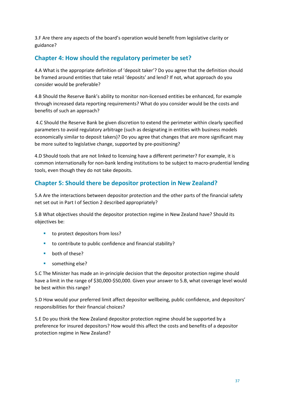3.F Are there any aspects of the board's operation would benefit from legislative clarity or guidance?

### **Chapter 4: How should the regulatory perimeter be set?**

4.A What is the appropriate definition of 'deposit taker'? Do you agree that the definition should be framed around entities that take retail 'deposits' and lend? If not, what approach do you consider would be preferable?

4.B Should the Reserve Bank's ability to monitor non-licensed entities be enhanced, for example through increased data reporting requirements? What do you consider would be the costs and benefits of such an approach?

4.C Should the Reserve Bank be given discretion to extend the perimeter within clearly specified parameters to avoid regulatory arbitrage (such as designating in entities with business models economically similar to deposit takers)? Do you agree that changes that are more significant may be more suited to legislative change, supported by pre-positioning?

4.D Should tools that are not linked to licensing have a different perimeter? For example, it is common internationally for non-bank lending institutions to be subject to macro-prudential lending tools, even though they do not take deposits.

### **Chapter 5: Should there be depositor protection in New Zealand?**

5.A Are the interactions between depositor protection and the other parts of the financial safety net set out in Part I of Section 2 described appropriately?

5.B What objectives should the depositor protection regime in New Zealand have? Should its objectives be:

- to protect depositors from loss?
- to contribute to public confidence and financial stability?
- **•** both of these?
- something else?

5.C The Minister has made an in-principle decision that the depositor protection regime should have a limit in the range of \$30,000-\$50,000. Given your answer to 5.B, what coverage level would be best within this range?

5.D How would your preferred limit affect depositor wellbeing, public confidence, and depositors' responsibilities for their financial choices?

5.E Do you think the New Zealand depositor protection regime should be supported by a preference for insured depositors? How would this affect the costs and benefits of a depositor protection regime in New Zealand?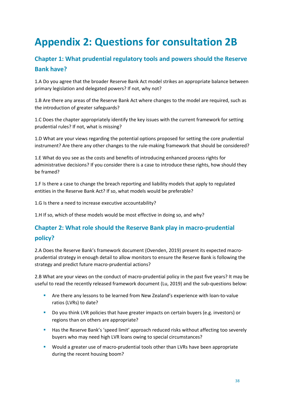## <span id="page-38-0"></span>**Appendix 2: Questions for consultation 2B**

### **Chapter 1: What prudential regulatory tools and powers should the Reserve Bank have?**

1.A Do you agree that the broader Reserve Bank Act model strikes an appropriate balance between primary legislation and delegated powers? If not, why not?

1.B Are there any areas of the Reserve Bank Act where changes to the model are required, such as the introduction of greater safeguards?

1.C Does the chapter appropriately identify the key issues with the current framework for setting prudential rules? If not, what is missing?

1.D What are your views regarding the potential options proposed for setting the core prudential instrument? Are there any other changes to the rule-making framework that should be considered?

1.E What do you see as the costs and benefits of introducing enhanced process rights for administrative decisions? If you consider there is a case to introduce these rights, how should they be framed?

1.F Is there a case to change the breach reporting and liability models that apply to regulated entities in the Reserve Bank Act? If so, what models would be preferable?

1.G Is there a need to increase executive accountability?

1.H If so, which of these models would be most effective in doing so, and why?

### **Chapter 2: What role should the Reserve Bank play in macro-prudential policy?**

2.A Does the Reserve Bank's framework document (Ovenden, 2019) present its expected macroprudential strategy in enough detail to allow monitors to ensure the Reserve Bank is following the strategy and predict future macro-prudential actions?

2.B What are your views on the conduct of macro-prudential policy in the past five years? It may be useful to read the recently released framework document (Lu, 2019) and the sub-questions below:

- Are there any lessons to be learned from New Zealand's experience with loan-to-value ratios (LVRs) to date?
- Do you think LVR policies that have greater impacts on certain buyers (e.g. investors) or regions than on others are appropriate?
- Has the Reserve Bank's 'speed limit' approach reduced risks without affecting too severely buyers who may need high LVR loans owing to special circumstances?
- **Would a greater use of macro-prudential tools other than LVRs have been appropriate** during the recent housing boom?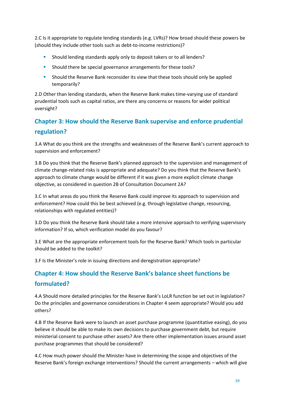2.C Is it appropriate to regulate lending standards (e.g. LVRs)? How broad should these powers be (should they include other tools such as debt-to-income restrictions)?

- **Should lending standards apply only to deposit takers or to all lenders?**
- **Should there be special governance arrangements for these tools?**
- Should the Reserve Bank reconsider its view that these tools should only be applied temporarily?

2.D Other than lending standards, when the Reserve Bank makes time-varying use of standard prudential tools such as capital ratios, are there any concerns or reasons for wider political oversight?

### **Chapter 3: How should the Reserve Bank supervise and enforce prudential regulation?**

3.A What do you think are the strengths and weaknesses of the Reserve Bank's current approach to supervision and enforcement?

3.B Do you think that the Reserve Bank's planned approach to the supervision and management of climate change-related risks is appropriate and adequate? Do you think that the Reserve Bank's approach to climate change would be different if it was given a more explicit climate change objective, as considered in question 2B of Consultation Document 2A?

3.C In what areas do you think the Reserve Bank could improve its approach to supervision and enforcement? How could this be best achieved (e.g. through legislative change, resourcing, relationships with regulated entities)?

3.D Do you think the Reserve Bank should take a more intensive approach to verifying supervisory information? If so, which verification model do you favour?

3.E What are the appropriate enforcement tools for the Reserve Bank? Which tools in particular should be added to the toolkit?

3.F Is the Minister's role in issuing directions and deregistration appropriate?

### **Chapter 4: How should the Reserve Bank's balance sheet functions be formulated?**

4.A Should more detailed principles for the Reserve Bank's LoLR function be set out in legislation? Do the principles and governance considerations in Chapter 4 seem appropriate? Would you add others?

4.B If the Reserve Bank were to launch an asset purchase programme (quantitative easing), do you believe it should be able to make its own decisions to purchase government debt, but require ministerial consent to purchase other assets? Are there other implementation issues around asset purchase programmes that should be considered?

4.C How much power should the Minister have in determining the scope and objectives of the Reserve Bank's foreign exchange interventions? Should the current arrangements – which will give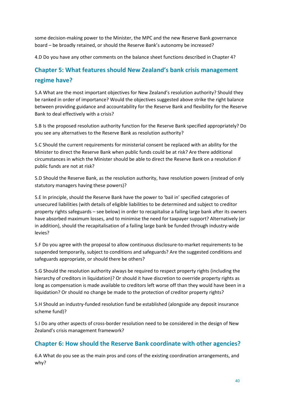some decision-making power to the Minister, the MPC and the new Reserve Bank governance board – be broadly retained, or should the Reserve Bank's autonomy be increased?

4.D Do you have any other comments on the balance sheet functions described in Chapter 4?

### **Chapter 5: What features should New Zealand's bank crisis management regime have?**

5.A What are the most important objectives for New Zealand's resolution authority? Should they be ranked in order of importance? Would the objectives suggested above strike the right balance between providing guidance and accountability for the Reserve Bank and flexibility for the Reserve Bank to deal effectively with a crisis?

5.B Is the proposed resolution authority function for the Reserve Bank specified appropriately? Do you see any alternatives to the Reserve Bank as resolution authority?

5.C Should the current requirements for ministerial consent be replaced with an ability for the Minister to direct the Reserve Bank when public funds could be at risk? Are there additional circumstances in which the Minister should be able to direct the Reserve Bank on a resolution if public funds are not at risk?

5.D Should the Reserve Bank, as the resolution authority, have resolution powers (instead of only statutory managers having these powers)?

5.E In principle, should the Reserve Bank have the power to 'bail in' specified categories of unsecured liabilities (with details of eligible liabilities to be determined and subject to creditor property rights safeguards – see below) in order to recapitalise a failing large bank after its owners have absorbed maximum losses, and to minimise the need for taxpayer support? Alternatively (or in addition), should the recapitalisation of a failing large bank be funded through industry-wide levies?

5.F Do you agree with the proposal to allow continuous disclosure-to-market requirements to be suspended temporarily, subject to conditions and safeguards? Are the suggested conditions and safeguards appropriate, or should there be others?

5.G Should the resolution authority always be required to respect property rights (including the hierarchy of creditors in liquidation)? Or should it have discretion to override property rights as long as compensation is made available to creditors left worse off than they would have been in a liquidation? Or should no change be made to the protection of creditor property rights?

5.H Should an industry-funded resolution fund be established (alongside any deposit insurance scheme fund)?

5.I Do any other aspects of cross-border resolution need to be considered in the design of New Zealand's crisis management framework?

### **Chapter 6: How should the Reserve Bank coordinate with other agencies?**

6.A What do you see as the main pros and cons of the existing coordination arrangements, and why?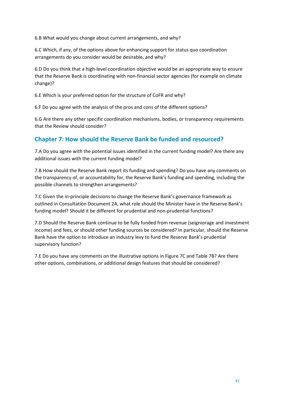6.B What would you change about current arrangements, and why?

6.C Which, if any, of the options above for enhancing support for status quo coordination arrangements do you consider would be desirable, and why?

6.D Do you think that a high-level coordination objective would be an appropriate way to ensure that the Reserve Bank is coordinating with non-financial sector agencies (for example on climate change)?

6.E Which is your preferred option for the structure of CoFR and why?

6.F Do you agree with the analysis of the pros and cons of the different options?

6.G Are there any other specific coordination mechanisms, bodies, or transparency requirements that the Review should consider?

### **Chapter 7: How should the Reserve Bank be funded and resourced?**

7.A Do you agree with the potential issues identified in the current funding model? Are there any additional issues with the current funding model?

7.B How should the Reserve Bank report its funding and spending? Do you have any comments on the transparency of, or accountability for, the Reserve Bank's funding and spending, including the possible channels to strengthen arrangements?

7.C Given the in-principle decisions to change the Reserve Bank's governance framework as outlined in Consultation Document 2A, what role should the Minister have in the Reserve Bank's funding model? Should it be different for prudential and non-prudential functions?

7.D Should the Reserve Bank continue to be fully funded from revenue (seigniorage and investment income) and fees, or should other funding sources be considered? In particular, should the Reserve Bank have the option to introduce an industry levy to fund the Reserve Bank's prudential supervisory function?

7.E Do you have any comments on the illustrative options in Figure 7C and Table 7B? Are there other options, combinations, or additional design features that should be considered?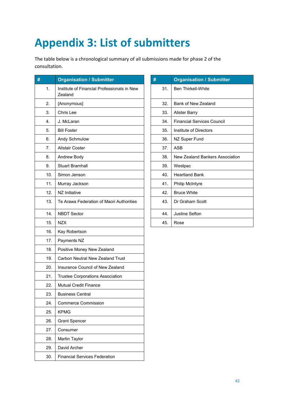## <span id="page-42-0"></span>**Appendix 3: List of submitters**

The table below is a chronological summary of all submissions made for phase 2 of the consultation.

| #   | <b>Organisation / Submitter</b>                        | #   | <b>Organisation / Submitter</b>        |
|-----|--------------------------------------------------------|-----|----------------------------------------|
| 1.  | Institute of Financial Professionals in New<br>Zealand | 31. | <b>Ben Thirkell-White</b>              |
| 2.  | [Anonymous]                                            | 32. | Bank of New Zealand                    |
| 3.  | Chris Lee                                              | 33. | <b>Alister Barry</b>                   |
| 4.  | J. McLaran                                             | 34. | <b>Financial Services Council</b>      |
| 5.  | <b>Bill Foster</b>                                     | 35. | Institute of Directors                 |
| 6.  | Andy Schmulow                                          | 36. | NZ Super Fund                          |
| 7.  | <b>Alistair Coster</b>                                 | 37. | <b>ASB</b>                             |
| 8.  | Andrew Body                                            | 38. | <b>New Zealand Bankers Association</b> |
| 9.  | <b>Stuart Bramhall</b>                                 | 39. | Westpac                                |
| 10. | Simon Jenson                                           | 40. | <b>Heartland Bank</b>                  |
| 11. | Murray Jackson                                         | 41. | Philip McIntyre                        |
| 12. | NZ Initiative                                          | 42. | <b>Bruce White</b>                     |
| 13. | Te Arawa Federation of Maori Authorities               | 43. | Dr Graham Scott                        |
| 14. | <b>NBDT Sector</b>                                     | 44. | Justine Sefton                         |
| 15. | <b>NZX</b>                                             | 45. | Rose                                   |
| 16. | Kay Robertson                                          |     |                                        |
| 17. | Payments NZ                                            |     |                                        |
| 18. | Positive Money New Zealand                             |     |                                        |
| 19. | <b>Carbon Neutral New Zealand Trust</b>                |     |                                        |
| 20. | Insurance Council of New Zealand                       |     |                                        |
| 21. | Trustee Corporations Association                       |     |                                        |
| 22. | <b>Mutual Credit Finance</b>                           |     |                                        |
| 23. | <b>Business Central</b>                                |     |                                        |
| 24. | <b>Commerce Commission</b>                             |     |                                        |
| 25. | <b>KPMG</b>                                            |     |                                        |
| 26. | <b>Grant Spencer</b>                                   |     |                                        |
| 27. | Consumer                                               |     |                                        |
| 28. | Martin Taylor                                          |     |                                        |
| 29. | David Archer                                           |     |                                        |
| 30. | <b>Financial Services Federation</b>                   |     |                                        |

| #   | <b>Organisation / Submitter</b>                                                         |  |  |  |  |
|-----|-----------------------------------------------------------------------------------------|--|--|--|--|
| 31. | <b>Ben Thirkell-White</b>                                                               |  |  |  |  |
| 32. | Bank of New Zealand                                                                     |  |  |  |  |
| 33. | Alister Barry                                                                           |  |  |  |  |
| 34. | <b>Financial Services Council</b>                                                       |  |  |  |  |
| 35. | Institute of Directors                                                                  |  |  |  |  |
| 36. | NZ Super Fund<br>37.<br>ASB<br>38.<br>New Zealand Bankers Association<br>39.<br>Westpac |  |  |  |  |
|     |                                                                                         |  |  |  |  |
|     |                                                                                         |  |  |  |  |
|     |                                                                                         |  |  |  |  |
| 40. | <b>Heartland Bank</b>                                                                   |  |  |  |  |
| 41. | <b>Philip McIntyre</b>                                                                  |  |  |  |  |
| 42. | <b>Bruce White</b>                                                                      |  |  |  |  |
| 43. | Dr Graham Scott                                                                         |  |  |  |  |
| 44. | Justine Sefton                                                                          |  |  |  |  |
| 45. | Rose                                                                                    |  |  |  |  |